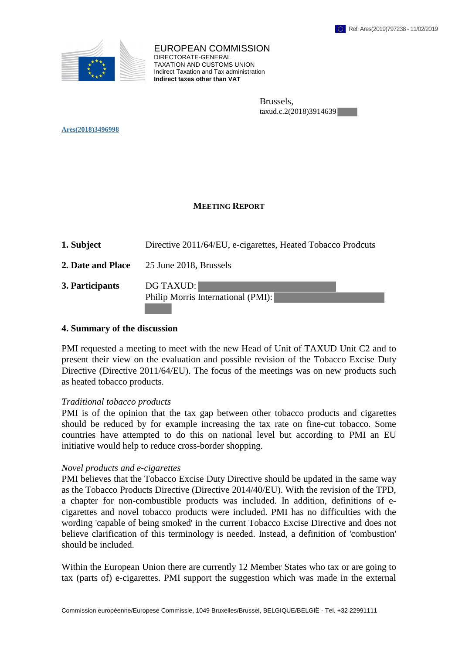

EUROPEAN COMMISSION DIRECTORATE-GENERAL TAXATION AND CUSTOMS UNION Indirect Taxation and Tax administration **Indirect taxes other than VAT**

> Brussels, taxud.c.2(2018)3914639

**Ares(2018)3496998** 

# **MEETING REPORT**

| 1. Subject        | Directive 2011/64/EU, e-cigarettes, Heated Tobacco Prodcuts |
|-------------------|-------------------------------------------------------------|
| 2. Date and Place | 25 June 2018, Brussels                                      |
| 3. Participants   | <b>DG TAXUD:</b><br>Philip Morris International (PMI):      |

### **4. Summary of the discussion**

PMI requested a meeting to meet with the new Head of Unit of TAXUD Unit C2 and to present their view on the evaluation and possible revision of the Tobacco Excise Duty Directive (Directive 2011/64/EU). The focus of the meetings was on new products such as heated tobacco products.

#### *Traditional tobacco products*

PMI is of the opinion that the tax gap between other tobacco products and cigarettes should be reduced by for example increasing the tax rate on fine-cut tobacco. Some countries have attempted to do this on national level but according to PMI an EU initiative would help to reduce cross-border shopping.

#### *Novel products and e-cigarettes*

PMI believes that the Tobacco Excise Duty Directive should be updated in the same way as the Tobacco Products Directive (Directive 2014/40/EU). With the revision of the TPD, a chapter for non-combustible products was included. In addition, definitions of ecigarettes and novel tobacco products were included. PMI has no difficulties with the wording 'capable of being smoked' in the current Tobacco Excise Directive and does not believe clarification of this terminology is needed. Instead, a definition of 'combustion' should be included.

Within the European Union there are currently 12 Member States who tax or are going to tax (parts of) e-cigarettes. PMI support the suggestion which was made in the external